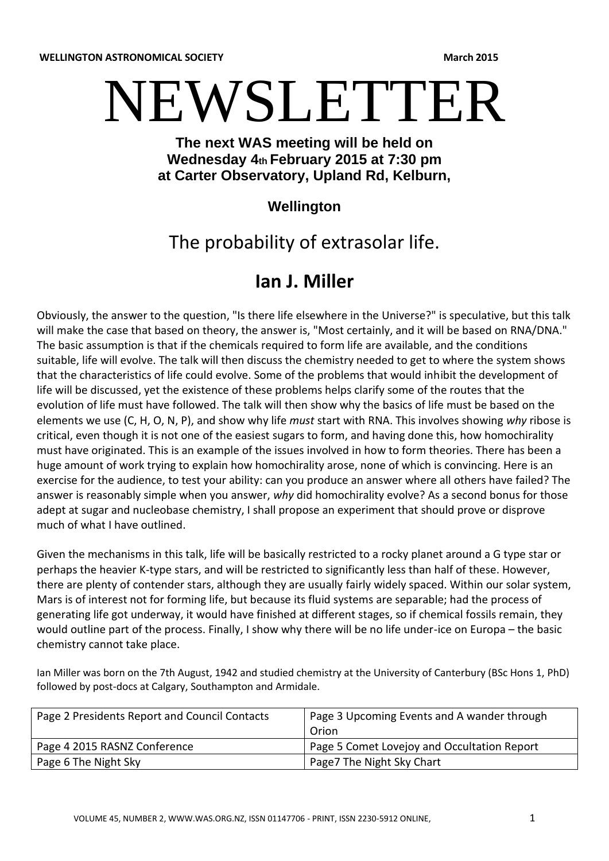**WELLINGTON ASTRONOMICAL SOCIETY And a structure of the structure of the structure of the structure of the structure of the structure of the structure of the structure of the structure of the structure of the structure o** 

# NEWSLETTER

## **The next WAS meeting will be held on Wednesday 4th February 2015 at 7:30 pm at Carter Observatory, Upland Rd, Kelburn,**

## **Wellington**

# The probability of extrasolar life.

# **Ian J. Miller**

Obviously, the answer to the question, "Is there life elsewhere in the Universe?" is speculative, but this talk will make the case that based on theory, the answer is, "Most certainly, and it will be based on RNA/DNA." The basic assumption is that if the chemicals required to form life are available, and the conditions suitable, life will evolve. The talk will then discuss the chemistry needed to get to where the system shows that the characteristics of life could evolve. Some of the problems that would inhibit the development of life will be discussed, yet the existence of these problems helps clarify some of the routes that the evolution of life must have followed. The talk will then show why the basics of life must be based on the elements we use (C, H, O, N, P), and show why life *must* start with RNA. This involves showing *why* ribose is critical, even though it is not one of the easiest sugars to form, and having done this, how homochirality must have originated. This is an example of the issues involved in how to form theories. There has been a huge amount of work trying to explain how homochirality arose, none of which is convincing. Here is an exercise for the audience, to test your ability: can you produce an answer where all others have failed? The answer is reasonably simple when you answer, *why* did homochirality evolve? As a second bonus for those adept at sugar and nucleobase chemistry, I shall propose an experiment that should prove or disprove much of what I have outlined.

Given the mechanisms in this talk, life will be basically restricted to a rocky planet around a G type star or perhaps the heavier K-type stars, and will be restricted to significantly less than half of these. However, there are plenty of contender stars, although they are usually fairly widely spaced. Within our solar system, Mars is of interest not for forming life, but because its fluid systems are separable; had the process of generating life got underway, it would have finished at different stages, so if chemical fossils remain, they would outline part of the process. Finally, I show why there will be no life under-ice on Europa – the basic chemistry cannot take place.

Ian Miller was born on the 7th August, 1942 and studied chemistry at the University of Canterbury (BSc Hons 1, PhD) followed by post-docs at Calgary, Southampton and Armidale.

| Page 2 Presidents Report and Council Contacts | Page 3 Upcoming Events and A wander through<br>Orion |
|-----------------------------------------------|------------------------------------------------------|
| Page 4 2015 RASNZ Conference                  | Page 5 Comet Lovejoy and Occultation Report          |
| Page 6 The Night Sky                          | Page7 The Night Sky Chart                            |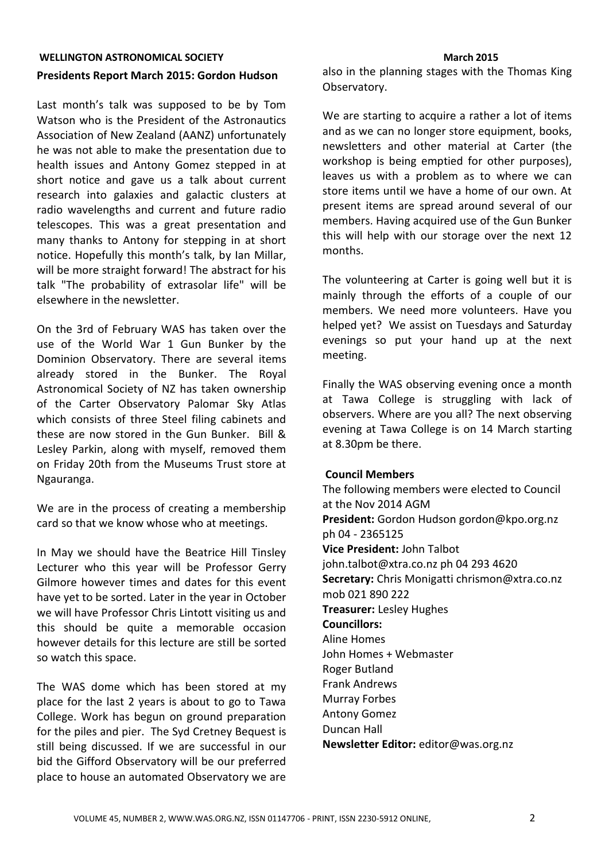#### **WELLINGTON ASTRONOMICAL SOCIETY And a strategies of the strategies of the strategies of the strategies of the strategies of the strategies of the strategies of the strategies of the strategies of the strategies of the s**

#### **Presidents Report March 2015: Gordon Hudson**

Last month's talk was supposed to be by Tom Watson who is the President of the Astronautics Association of New Zealand (AANZ) unfortunately he was not able to make the presentation due to health issues and Antony Gomez stepped in at short notice and gave us a talk about current research into galaxies and galactic clusters at radio wavelengths and current and future radio telescopes. This was a great presentation and many thanks to Antony for stepping in at short notice. Hopefully this month's talk, by Ian Millar, will be more straight forward! The abstract for his talk "The probability of extrasolar life" will be elsewhere in the newsletter.

On the 3rd of February WAS has taken over the use of the World War 1 Gun Bunker by the Dominion Observatory. There are several items already stored in the Bunker. The Royal Astronomical Society of NZ has taken ownership of the Carter Observatory Palomar Sky Atlas which consists of three Steel filing cabinets and these are now stored in the Gun Bunker. Bill & Lesley Parkin, along with myself, removed them on Friday 20th from the Museums Trust store at Ngauranga.

We are in the process of creating a membership card so that we know whose who at meetings.

In May we should have the Beatrice Hill Tinsley Lecturer who this year will be Professor Gerry Gilmore however times and dates for this event have yet to be sorted. Later in the year in October we will have Professor Chris Lintott visiting us and this should be quite a memorable occasion however details for this lecture are still be sorted so watch this space.

The WAS dome which has been stored at my place for the last 2 years is about to go to Tawa College. Work has begun on ground preparation for the piles and pier. The Syd Cretney Bequest is still being discussed. If we are successful in our bid the Gifford Observatory will be our preferred place to house an automated Observatory we are

also in the planning stages with the Thomas King Observatory.

We are starting to acquire a rather a lot of items and as we can no longer store equipment, books, newsletters and other material at Carter (the workshop is being emptied for other purposes), leaves us with a problem as to where we can store items until we have a home of our own. At present items are spread around several of our members. Having acquired use of the Gun Bunker this will help with our storage over the next 12 months.

The volunteering at Carter is going well but it is mainly through the efforts of a couple of our members. We need more volunteers. Have you helped yet? We assist on Tuesdays and Saturday evenings so put your hand up at the next meeting.

Finally the WAS observing evening once a month at Tawa College is struggling with lack of observers. Where are you all? The next observing evening at Tawa College is on 14 March starting at 8.30pm be there.

#### **Council Members**

The following members were elected to Council at the Nov 2014 AGM **President:** Gordon Hudson gordon@kpo.org.nz ph 04 - 2365125 **Vice President:** John Talbot john.talbot@xtra.co.nz ph 04 293 4620 **Secretary:** Chris Monigatti chrismon@xtra.co.nz mob 021 890 222 **Treasurer:** Lesley Hughes **Councillors:**  Aline Homes John Homes + Webmaster Roger Butland Frank Andrews Murray Forbes Antony Gomez Duncan Hall **Newsletter Editor:** editor@was.org.nz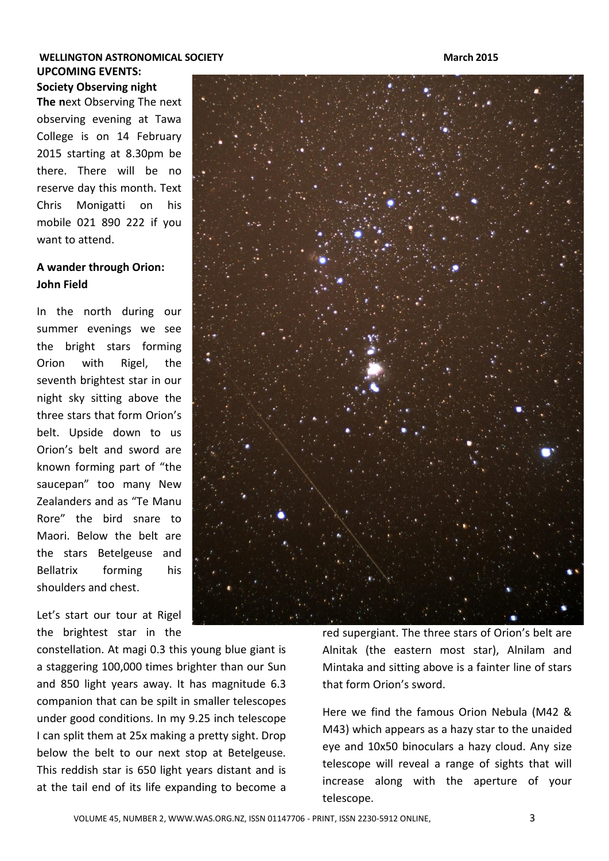#### **WELLINGTON ASTRONOMICAL SOCIETY And a strategies of the strategies of the strategies of the strategies of the strategies of the strategies of the strategies of the strategies of the strategies of the strategies of the s UPCOMING EVENTS: Society Observing night**

**The n**ext Observing The next observing evening at Tawa College is on 14 February 2015 starting at 8.30pm be there. There will be no reserve day this month. Text Chris Monigatti on his mobile 021 890 222 if you want to attend.

#### **A wander through Orion: John Field**

In the north during our summer evenings we see the bright stars forming Orion with Rigel, the seventh brightest star in our night sky sitting above the three stars that form Orion's belt. Upside down to us Orion's belt and sword are known forming part of "the saucepan" too many New Zealanders and as "Te Manu Rore" the bird snare to Maori. Below the belt are the stars Betelgeuse and Bellatrix forming his shoulders and chest.

Let's start our tour at Rigel the brightest star in the

constellation. At magi 0.3 this young blue giant is a staggering 100,000 times brighter than our Sun and 850 light years away. It has magnitude 6.3 companion that can be spilt in smaller telescopes under good conditions. In my 9.25 inch telescope I can split them at 25x making a pretty sight. Drop below the belt to our next stop at Betelgeuse. This reddish star is 650 light years distant and is at the tail end of its life expanding to become a

red supergiant. The three stars of Orion's belt are Alnitak (the eastern most star), Alnilam and Mintaka and sitting above is a fainter line of stars that form Orion's sword.

Here we find the famous Orion Nebula (M42 & M43) which appears as a hazy star to the unaided eye and 10x50 binoculars a hazy cloud. Any size telescope will reveal a range of sights that will increase along with the aperture of your telescope.

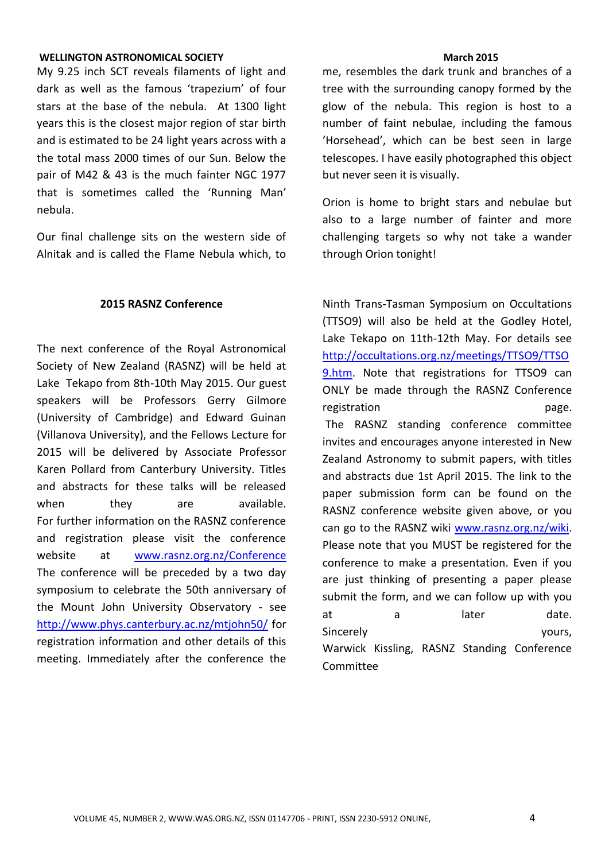#### **WELLINGTON ASTRONOMICAL SOCIETY And a state of the state of the state of the state of the state of the state of the state of the state of the state of the state of the state of the state of the state of the state of the**

My 9.25 inch SCT reveals filaments of light and dark as well as the famous 'trapezium' of four stars at the base of the nebula. At 1300 light years this is the closest major region of star birth and is estimated to be 24 light years across with a the total mass 2000 times of our Sun. Below the pair of M42 & 43 is the much fainter NGC 1977 that is sometimes called the 'Running Man' nebula.

Our final challenge sits on the western side of Alnitak and is called the Flame Nebula which, to

#### **2015 RASNZ Conference**

The next conference of the Royal Astronomical Society of New Zealand (RASNZ) will be held at Lake Tekapo from 8th-10th May 2015. Our guest speakers will be Professors Gerry Gilmore (University of Cambridge) and Edward Guinan (Villanova University), and the Fellows Lecture for 2015 will be delivered by Associate Professor Karen Pollard from Canterbury University. Titles and abstracts for these talks will be released when they are available. For further information on the RASNZ conference and registration please visit the conference website at [www.rasnz.org.nz/Conference](http://www.rasnz.org.nz/Conference) The conference will be preceded by a two day symposium to celebrate the 50th anniversary of the Mount John University Observatory - see <http://www.phys.canterbury.ac.nz/mtjohn50/> for registration information and other details of this meeting. Immediately after the conference the

me, resembles the dark trunk and branches of a tree with the surrounding canopy formed by the glow of the nebula. This region is host to a number of faint nebulae, including the famous 'Horsehead', which can be best seen in large telescopes. I have easily photographed this object but never seen it is visually.

Orion is home to bright stars and nebulae but also to a large number of fainter and more challenging targets so why not take a wander through Orion tonight!

Ninth Trans-Tasman Symposium on Occultations (TTSO9) will also be held at the Godley Hotel, Lake Tekapo on 11th-12th May. For details see [http://occultations.org.nz/meetings/TTSO9/TTSO](http://occultations.org.nz/meetings/TTSO9/TTSO9.htm) [9.htm.](http://occultations.org.nz/meetings/TTSO9/TTSO9.htm) Note that registrations for TTSO9 can ONLY be made through the RASNZ Conference registration page. The RASNZ standing conference committee invites and encourages anyone interested in New Zealand Astronomy to submit papers, with titles and abstracts due 1st April 2015. The link to the paper submission form can be found on the RASNZ conference website given above, or you can go to the RASNZ wiki [www.rasnz.org.nz/wiki.](http://www.rasnz.org.nz/wiki) Please note that you MUST be registered for the conference to make a presentation. Even if you are just thinking of presenting a paper please submit the form, and we can follow up with you at a later date. Sincerely vours, Warwick Kissling, RASNZ Standing Conference Committee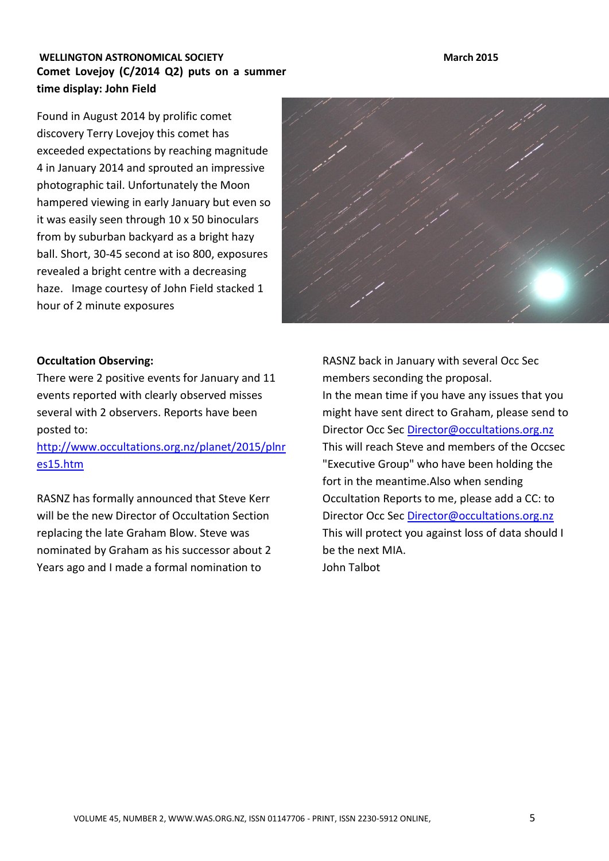### **WELLINGTON ASTRONOMICAL SOCIETY And a structure of the structure of the structure of the structure of the structure of the structure of the structure of the structure of the structure of the structure of the structure o Comet Lovejoy (C/2014 Q2) puts on a summer time display: John Field**

Found in August 2014 by prolific comet discovery Terry Lovejoy this comet has exceeded expectations by reaching magnitude 4 in January 2014 and sprouted an impressive photographic tail. Unfortunately the Moon hampered viewing in early January but even so it was easily seen through 10 x 50 binoculars from by suburban backyard as a bright hazy ball. Short, 30-45 second at iso 800, exposures revealed a bright centre with a decreasing haze. Image courtesy of John Field stacked 1 hour of 2 minute exposures



#### **Occultation Observing:**

There were 2 positive events for January and 11 events reported with clearly observed misses several with 2 observers. Reports have been posted to:

[http://www.occultations.org.nz/planet/2015/plnr](http://www.occultations.org.nz/planet/2015/plnres15.htm) [es15.htm](http://www.occultations.org.nz/planet/2015/plnres15.htm)

RASNZ has formally announced that Steve Kerr will be the new Director of Occultation Section replacing the late Graham Blow. Steve was nominated by Graham as his successor about 2 Years ago and I made a formal nomination to

RASNZ back in January with several Occ Sec members seconding the proposal. In the mean time if you have any issues that you might have sent direct to Graham, please send to Director Occ Sec [Director@occultations.org.nz](mailto:Director@occultations.org.nz) This will reach Steve and members of the Occsec "Executive Group" who have been holding the fort in the meantime.Also when sending Occultation Reports to me, please add a CC: to Director Occ Sec [Director@occultations.org.nz](mailto:Director@occultations.org.nz) This will protect you against loss of data should I be the next MIA. John Talbot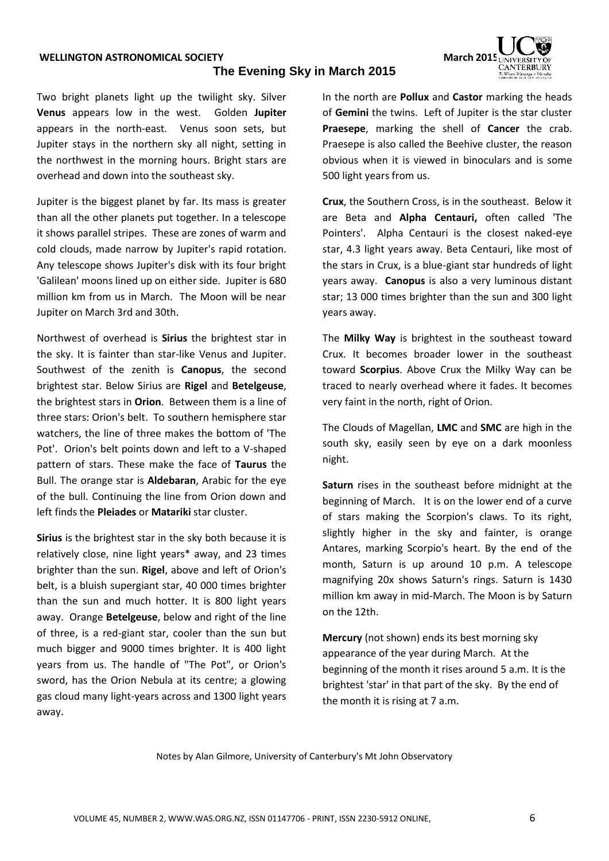#### **WELLINGTON ASTRONOMICAL SOCIETY March March March March** 2015

#### **The Evening Sky in March 2015**



Two bright planets light up the twilight sky. Silver **Venus** appears low in the west. Golden **Jupiter** appears in the north-east. Venus soon sets, but Jupiter stays in the northern sky all night, setting in the northwest in the morning hours. Bright stars are overhead and down into the southeast sky.

Jupiter is the biggest planet by far. Its mass is greater than all the other planets put together. In a telescope it shows parallel stripes. These are zones of warm and cold clouds, made narrow by Jupiter's rapid rotation. Any telescope shows Jupiter's disk with its four bright 'Galilean' moons lined up on either side. Jupiter is 680 million km from us in March. The Moon will be near Jupiter on March 3rd and 30th.

Northwest of overhead is **Sirius** the brightest star in the sky. It is fainter than star-like Venus and Jupiter. Southwest of the zenith is **Canopus**, the second brightest star. Below Sirius are **Rigel** and **Betelgeuse**, the brightest stars in **Orion**. Between them is a line of three stars: Orion's belt. To southern hemisphere star watchers, the line of three makes the bottom of 'The Pot'. Orion's belt points down and left to a V-shaped pattern of stars. These make the face of **Taurus** the Bull. The orange star is **Aldebaran**, Arabic for the eye of the bull. Continuing the line from Orion down and left finds the **Pleiades** or **Matariki** star cluster.

**Sirius** is the brightest star in the sky both because it is relatively close, nine light years\* away, and 23 times brighter than the sun. **Rigel**, above and left of Orion's belt, is a bluish supergiant star, 40 000 times brighter than the sun and much hotter. It is 800 light years away. Orange **Betelgeuse**, below and right of the line of three, is a red-giant star, cooler than the sun but much bigger and 9000 times brighter. It is 400 light years from us. The handle of "The Pot", or Orion's sword, has the Orion Nebula at its centre; a glowing gas cloud many light-years across and 1300 light years away.

In the north are **Pollux** and **Castor** marking the heads of **Gemini** the twins. Left of Jupiter is the star cluster **Praesepe**, marking the shell of **Cancer** the crab. Praesepe is also called the Beehive cluster, the reason obvious when it is viewed in binoculars and is some 500 light years from us.

**Crux**, the Southern Cross, is in the southeast. Below it are Beta and **Alpha Centauri,** often called 'The Pointers'. Alpha Centauri is the closest naked-eye star, 4.3 light years away. Beta Centauri, like most of the stars in Crux, is a blue-giant star hundreds of light years away. **Canopus** is also a very luminous distant star; 13 000 times brighter than the sun and 300 light years away.

The **Milky Way** is brightest in the southeast toward Crux. It becomes broader lower in the southeast toward **Scorpius**. Above Crux the Milky Way can be traced to nearly overhead where it fades. It becomes very faint in the north, right of Orion.

The Clouds of Magellan, **LMC** and **SMC** are high in the south sky, easily seen by eye on a dark moonless night.

**Saturn** rises in the southeast before midnight at the beginning of March. It is on the lower end of a curve of stars making the Scorpion's claws. To its right, slightly higher in the sky and fainter, is orange Antares, marking Scorpio's heart. By the end of the month, Saturn is up around 10 p.m. A telescope magnifying 20x shows Saturn's rings. Saturn is 1430 million km away in mid-March. The Moon is by Saturn on the 12th.

**Mercury** (not shown) ends its best morning sky appearance of the year during March. At the beginning of the month it rises around 5 a.m. It is the brightest 'star' in that part of the sky. By the end of the month it is rising at 7 a.m.

Notes by Alan Gilmore, University of Canterbury's Mt John Observatory